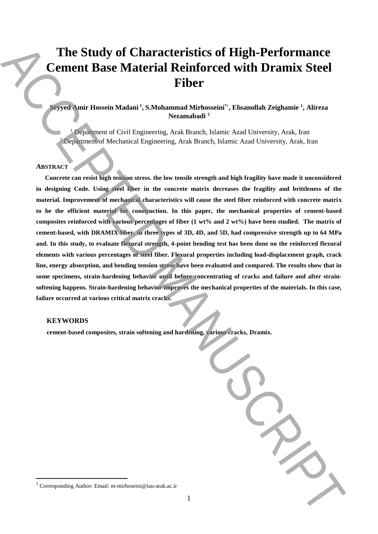# **The Study of Characteristics of High-Performance Cement Base Material Reinforced with Dramix Steel Fiber**

# **Seyyed Amir Hossein Madani <sup>1</sup> , S.Mohammad Mirhosseini\***<sup>1</sup> **, Ehsanollah Zeighamie <sup>1</sup> , Alireza Nezamabadi <sup>2</sup>**

<sup>1</sup> Department of Civil Engineering, Arak Branch, Islamic Azad University, Arak, Iran <sup>2</sup> Department of Mechanical Engineering, Arak Branch, Islamic Azad University, Arak, Iran

## **ABSTRACT**

**Concrete can resist high tension stress. the low tensile strength and high fragility have made it unconsidered in designing Code. Using steel fiber in the concrete matrix decreases the fragility and brittleness of the material. Improvement of mechanical characteristics will cause the steel fiber reinforced with concrete matrix to be the efficient material for construction. In this paper, the mechanical properties of cement-based composites reinforced with various percentages of fiber (1 wt% and 2 wt%) have been studied. The matrix of cement-based, with DRAMIX fiber, in three types of 3D, 4D, and 5D, had compressive strength up to 64 MPa and. In this study, to evaluate flexural strength, 4-point bending test has been done on the reinforced flexural elements with various percentages of steel fiber. Flexural properties including load-displacement graph, crack line, energy absorption, and bending tension stress have been evaluated and compared. The results show that in some specimens, strain-hardening behavior until before concentrating of cracks and failure and after strainsoftening happens. Strain-hardening behavior improves the mechanical properties of the materials. In this case, failure occurred at various critical matrix cracks.** The Study of Characteristics of High-Performance<br>
Fiber Corresponding Authorities and Manuscriptus (Figure 1). Thus<br>notes that the contribution of the corresponding Authorities and the<br>Alexander Authorities and Alexander C

#### **KEYWORDS**

 $\overline{a}$ 

**cement-based composites, strain softening and hardening, various cracks, Dramix.**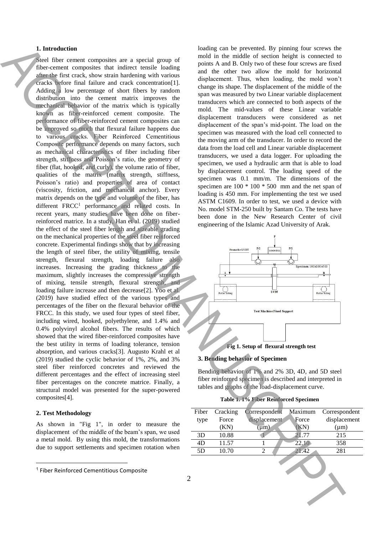## **1. Introduction**

Steel fiber cement composites are a special group of fiber-cement composites that indirect tensile loading after the first crack, show strain hardening with various cracks before final failure and crack concentration[1]. Adding a low percentage of short fibers by random distribution into the cement matrix improves the mechanical behavior of the matrix which is typically known as fiber-reinforced cement composite. The performance of fiber-reinforced cement composites can be improved so much that flexural failure happens due to various cracks. Fiber Reinforced Cementitious Composite performance depends on many factors, such as mechanical characteristics of fiber including fiber strength, stiffness and Poisson's ratio, the geometry of fiber (flat, hooked, and curly), the volume ratio of fiber, qualities of the matrix (matrix strength, stiffness, Poisson's ratio) and properties of area of contact (viscosity, friction, and mechanical anchor). Every matrix depends on the type and volume of the fiber, has different FRCC<sup>1</sup> performance and related costs. In recent years, many studies have been done on fiberreinforced matrice. In a study, Han et al. (2019) studied the effect of the steel fiber length and sizeable grading on the mechanical properties of the steel fiber reinforced concrete. Experimental findings show that by increasing the length of steel fiber, the utility of mixing, tensile strength, flexural strength, loading failure also increases. Increasing the grading thickness to the maximum, slightly increases the compressive strength of mixing, tensile strength, flexural strength, and loading failure increase and then decrease[2]. Yoo et al. (2019) have studied effect of the various types and percentages of the fiber on the flexural behavior of the FRCC. In this study, we used four types of steel fiber, including wired, hooked, polyethylene, and 1.4% and 0.4% polyvinyl alcohol fibers. The results of which showed that the wired fiber-reinforced composites have the best utility in terms of loading tolerance, tension absorption, and various cracks[3]. Augusto Krahl et al (2019) studied the cyclic behavior of 1%, 2%, and 3% steel fiber reinforced concretes and reviewed the different percentages and the effect of increasing steel fiber percentages on the concrete matrice. Finally, a structural model was presented for the super-powered composites[4]. **1.** Interded we can consist the same of the same of the same of the same of the same of the same of the same of the same of the same of the same of the same of the same of the same of the same of the same of the same of

# **2. Test Methodology**

 $\overline{a}$ 

As shown in "Fig 1", in order to measure the displacement of the middle of the beam's span, we used a metal mold. By using this mold, the transformations due to support settlements and specimen rotation when loading can be prevented. By pinning four screws the mold in the middle of section height is connected to points A and B. Only two of these four screws are fixed and the other two allow the mold for horizontal displacement. Thus, when loading, the mold won't change its shape. The displacement of the middle of the span was measured by two Linear variable displacement transducers which are connected to both aspects of the mold. The mid-values of these Linear variable displacement transducers were considered as net displacement of the span's mid-point. The load on the specimen was measured with the load cell connected to the moving arm of the transducer. In order to record the data from the load cell and Linear variable displacement transducers, we used a data logger. For uploading the specimen, we used a hydraulic arm that is able to load by displacement control. The loading speed of the specimen was 0.1 mm/m. The dimensions of the specimen are 100 \* 100 \* 500 mm and the net span of loading is 450 mm. For implementing the test we used ASTM C1609. In order to test, we used a device with No. model STM-250 built by Santam Co. The tests have been done in the New Research Center of civil engineering of the Islamic Azad University of Arak.



# **3. Bending behavior of Specimen**

Bending behavior of 1% and 2% 3D, 4D, and 5D steel fiber reinforced specimen is described and interpreted in tables and graphs of the load-displacement curve.

| Fiber | Cracking | Correspondent | Maximum | Correspondent |
|-------|----------|---------------|---------|---------------|
| type  | Force    | displacement  | Force   | displacement  |
|       | (KN)     | um)           | KN)     | $(\mu m)$     |
| 3D    | 10.88    |               | 21.77   | 215           |
| 4D    | 11.57    |               | 22.10   | 358           |
| 5D    | 10.70    |               | 21.42   | 281           |
|       |          |               |         |               |

<sup>1</sup> Fiber Reinforced Cementitious Composite